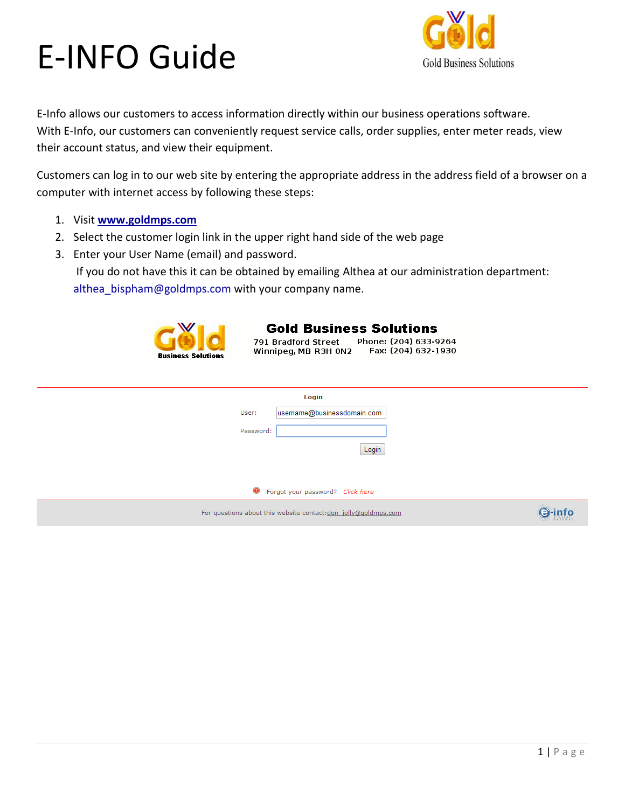

E-Info allows our customers to access information directly within our business operations software. With E-Info, our customers can conveniently request service calls, order supplies, enter meter reads, view their account status, and view their equipment.

Customers can log in to our web site by entering the appropriate address in the address field of a browser on a computer with internet access by following these steps:

- 1. Visit **[www.goldmps.com](http://www.goldmps.com/)**
- 2. Select the customer login link in the upper right hand side of the web page
- 3. Enter your User Name (email) and password.

If you do not have this it can be obtained by emailing Althea at our administration department: althea bispham@goldmps.com with your company name.

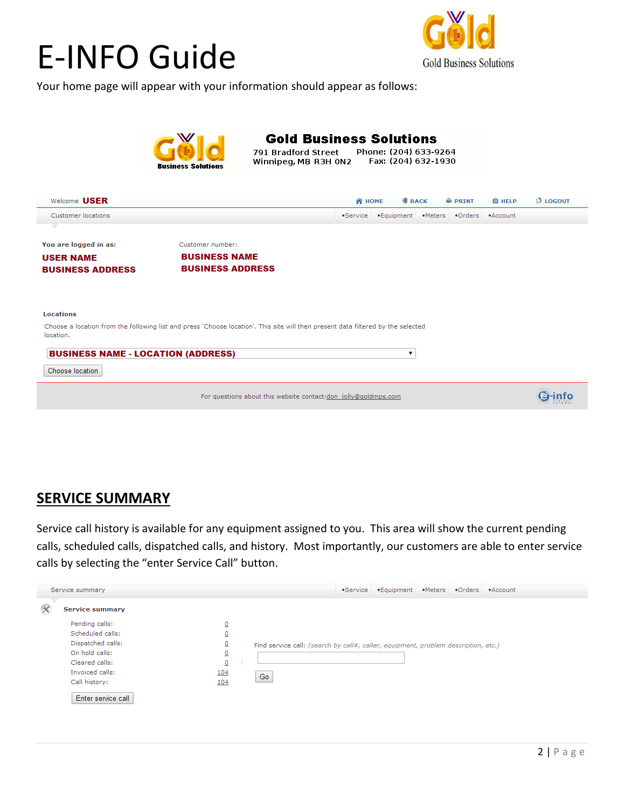

Your home page will appear with your information should appear as follows:



#### **SERVICE SUMMARY**

Service call history is available for any equipment assigned to you. This area will show the current pending calls, scheduled calls, dispatched calls, and history. Most importantly, our customers are able to enter service calls by selecting the "enter Service Call" button.

| Service summary                                                                                                                                       |                                                                                                                         |                                                                                          | •Service | .Equipment .Meters .Orders .Account |  |  |
|-------------------------------------------------------------------------------------------------------------------------------------------------------|-------------------------------------------------------------------------------------------------------------------------|------------------------------------------------------------------------------------------|----------|-------------------------------------|--|--|
| K<br><b>Service summary</b>                                                                                                                           |                                                                                                                         |                                                                                          |          |                                     |  |  |
| Pending calls:<br>Scheduled calls:<br>Dispatched calls:<br>On hold calls:<br>Cleared calls:<br>Invoiced calls:<br>Call history:<br>Enter service call | $\overline{\mathbf{0}}$<br>$\overline{0}$<br>$\overline{\mathsf{o}}$<br>$\overline{0}$<br>$\underline{0}$<br>104<br>104 | Find service call: (search by call#, caller, equipment, problem description, etc.)<br>Go |          |                                     |  |  |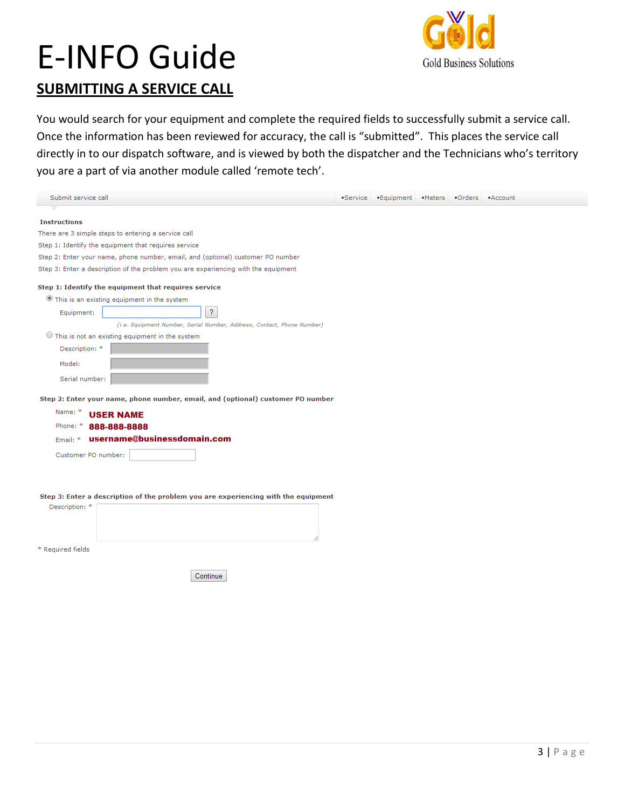

### **SUBMITTING A SERVICE CALL**

You would search for your equipment and complete the required fields to successfully submit a service call. Once the information has been reviewed for accuracy, the call is "submitted". This places the service call directly in to our dispatch software, and is viewed by both the dispatcher and the Technicians who's territory you are a part of via another module called 'remote tech'.

| Submit service call                                                                | •Service | • Equipment • Meters • Orders • Account |  |  |
|------------------------------------------------------------------------------------|----------|-----------------------------------------|--|--|
|                                                                                    |          |                                         |  |  |
| <b>Instructions</b>                                                                |          |                                         |  |  |
| There are 3 simple steps to entering a service call                                |          |                                         |  |  |
| Step 1: Identify the equipment that requires service                               |          |                                         |  |  |
| Step 2: Enter your name, phone number, email, and (optional) customer PO number    |          |                                         |  |  |
| Step 3: Enter a description of the problem you are experiencing with the equipment |          |                                         |  |  |
| Step 1: Identify the equipment that requires service                               |          |                                         |  |  |
| This is an existing equipment in the system                                        |          |                                         |  |  |
| ?<br>Equipment:                                                                    |          |                                         |  |  |
| (i.e. Equipment Number, Serial Number, Address, Contact, Phone Number)             |          |                                         |  |  |
| $\bigcirc$ This is not an existing equipment in the system                         |          |                                         |  |  |
| Description: *                                                                     |          |                                         |  |  |
| Model:                                                                             |          |                                         |  |  |
| Serial number:                                                                     |          |                                         |  |  |
|                                                                                    |          |                                         |  |  |
| Step 2: Enter your name, phone number, email, and (optional) customer PO number    |          |                                         |  |  |
| Name: *<br><b>USER NAME</b>                                                        |          |                                         |  |  |
| Phone: *<br>888-888-8888                                                           |          |                                         |  |  |
| username@businessdomain.com<br>Email: *                                            |          |                                         |  |  |
| Customer PO number:                                                                |          |                                         |  |  |
|                                                                                    |          |                                         |  |  |
|                                                                                    |          |                                         |  |  |
|                                                                                    |          |                                         |  |  |
| Step 3: Enter a description of the problem you are experiencing with the equipment |          |                                         |  |  |
| Description: *                                                                     |          |                                         |  |  |
|                                                                                    |          |                                         |  |  |
|                                                                                    |          |                                         |  |  |
| * Required fields                                                                  |          |                                         |  |  |
|                                                                                    |          |                                         |  |  |

Continue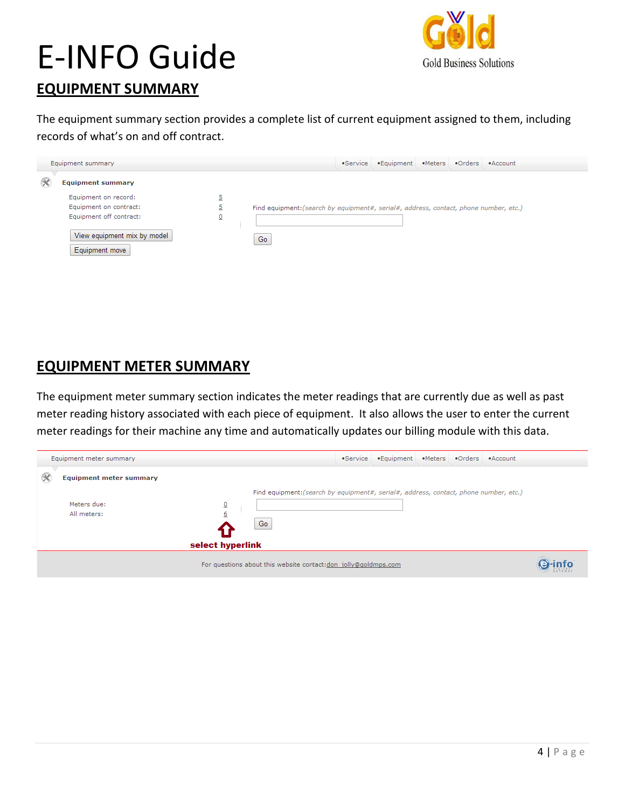

### **EQUIPMENT SUMMARY**

The equipment summary section provides a complete list of current equipment assigned to them, including records of what's on and off contract.

| Equipment summary                                                                                                          |                              |                                                                                             | •Service •Equipment •Meters •Orders •Account |  |  |
|----------------------------------------------------------------------------------------------------------------------------|------------------------------|---------------------------------------------------------------------------------------------|----------------------------------------------|--|--|
| <b>Equipment summary</b>                                                                                                   |                              |                                                                                             |                                              |  |  |
| Equipment on record:<br>Equipment on contract:<br>Equipment off contract:<br>View equipment mix by model<br>Equipment move | 5<br>$\overline{\mathsf{o}}$ | Find equipment: (search by equipment#, serial#, address, contact, phone number, etc.)<br>Go |                                              |  |  |

#### **EQUIPMENT METER SUMMARY**

The equipment meter summary section indicates the meter readings that are currently due as well as past meter reading history associated with each piece of equipment. It also allows the user to enter the current meter readings for their machine any time and automatically updates our billing module with this data.

| Equipment meter summary        |                                                                                       | •Service •Equipment •Meters •Orders •Account |  |  |
|--------------------------------|---------------------------------------------------------------------------------------|----------------------------------------------|--|--|
| <b>Equipment meter summary</b> |                                                                                       |                                              |  |  |
|                                | Find equipment: (search by equipment#, serial#, address, contact, phone number, etc.) |                                              |  |  |
| Meters due:                    | 0                                                                                     |                                              |  |  |
| All meters:                    | $\underline{6}$                                                                       |                                              |  |  |
|                                | Go                                                                                    |                                              |  |  |
|                                | select hyperlink                                                                      |                                              |  |  |
|                                |                                                                                       |                                              |  |  |
|                                | For questions about this website contact:don_jolly@goldmps.com                        |                                              |  |  |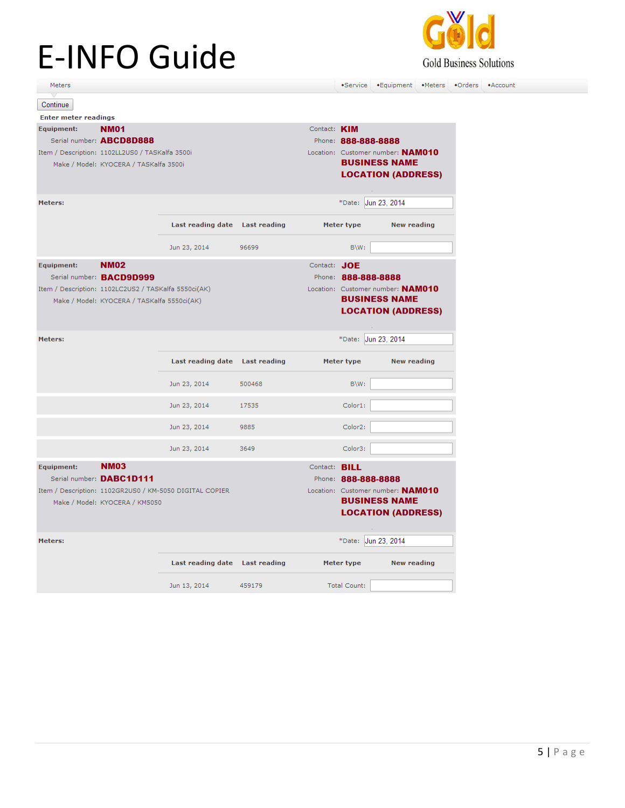

•Meters •Orders •Account •Service •Equipment Meters Continue **Enter meter readings** Contact: **KIM** Equipment: **NM01** Serial number: ABCD8D888 Phone: 888-888-8888 Item / Description: 1102LL2US0 / TASKalfa 3500i Location: Customer number: NAM010 **BUSINESS NAME** Make / Model: KYOCERA / TASKalfa 3500i **LOCATION (ADDRESS)** Meters: \*Date: Jun 23, 2014 Last reading date Last reading Meter type **New reading** Jun 23, 2014 96699 B\W: **NM02** Equipment: Contact: JOE Serial number: BACD9D999 Phone: 888-888-8888 Location: Customer number: NAM010 Item / Description: 1102LC2US2 / TASKalfa 5550ci(AK) **BUSINESS NAME** Make / Model: KYOCERA / TASKalfa 5550ci(AK) **LOCATION (ADDRESS)** \*Date: Jun 23, 2014 Meters: Last reading date Last reading Meter type **New reading** Jun 23, 2014 500468 B\W: Jun 23, 2014 Color1: 17535 Jun 23, 2014 Color2: 9885 Jun 23, 2014 Color3: 3649 Equipment: **NM03** Contact: BILL Serial number: DABC1D111 Phone: 888-888-8888 Item / Description: 1102GR2US0 / KM-5050 DIGITAL COPIER Location: Customer number: NAM010 **BUSINESS NAME** Make / Model: KYOCERA / KM5050 **LOCATION (ADDRESS)** \*Date: Jun 23, 2014 Meters: Last reading date **Last reading** Meter type **New reading** Jun 13, 2014 459179 Total Count: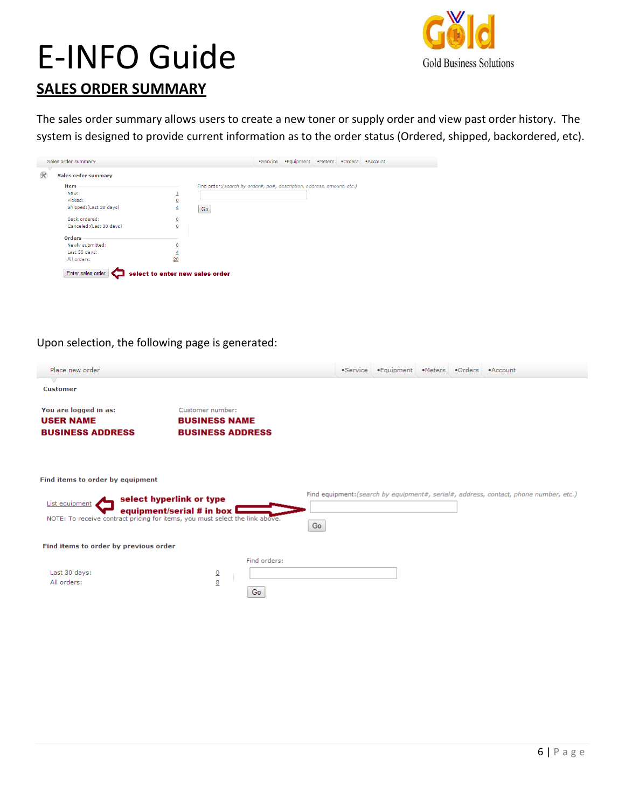

#### **SALES ORDER SUMMARY**

The sales order summary allows users to create a new toner or supply order and view past order history. The system is designed to provide current information as to the order status (Ordered, shipped, backordered, etc).

| <b>Sales order summary</b> |                         |                                                                         |  |  |  |
|----------------------------|-------------------------|-------------------------------------------------------------------------|--|--|--|
| Item                       |                         | Find order: (search by order#, po#, description, address, amount, etc.) |  |  |  |
| New:                       | ٠<br>÷                  |                                                                         |  |  |  |
| Picked:                    | $\mathbf 0$             |                                                                         |  |  |  |
| Shipped: (Last 30 days)    | $\overline{4}$          | Go                                                                      |  |  |  |
| Back ordered:              | ₫                       |                                                                         |  |  |  |
| Canceled: (Last 30 days)   | $\overline{0}$          |                                                                         |  |  |  |
| <b>Orders</b>              |                         |                                                                         |  |  |  |
| Newly submitted:           | $\overline{\mathbf{0}}$ |                                                                         |  |  |  |
| Last 30 days:              | $\overline{4}$          |                                                                         |  |  |  |
| All orders:                | 20                      |                                                                         |  |  |  |

#### Upon selection, the following page is generated:

| Place new order.                                                                                                                   |                                                                     |    | •Service •Equipment •Meters •Orders •Account |  |                                                                                       |
|------------------------------------------------------------------------------------------------------------------------------------|---------------------------------------------------------------------|----|----------------------------------------------|--|---------------------------------------------------------------------------------------|
| <b>Customer</b>                                                                                                                    |                                                                     |    |                                              |  |                                                                                       |
| You are logged in as:<br><b>USER NAME</b><br><b>BUSINESS ADDRESS</b>                                                               | Customer number:<br><b>BUSINESS NAME</b><br><b>BUSINESS ADDRESS</b> |    |                                              |  |                                                                                       |
| Find items to order by equipment<br>List equipment<br>NOTE: To receive contract pricing for items, you must select the link above. | select hyperlink or type<br>equipment/serial # in box $\square$     | Go |                                              |  | Find equipment: (search by equipment#, serial#, address, contact, phone number, etc.) |
| Find items to order by previous order                                                                                              |                                                                     |    |                                              |  |                                                                                       |
| Last 30 days:<br>All orders:                                                                                                       | Find orders:<br>$\overline{0}$<br>8<br>Go                           |    |                                              |  |                                                                                       |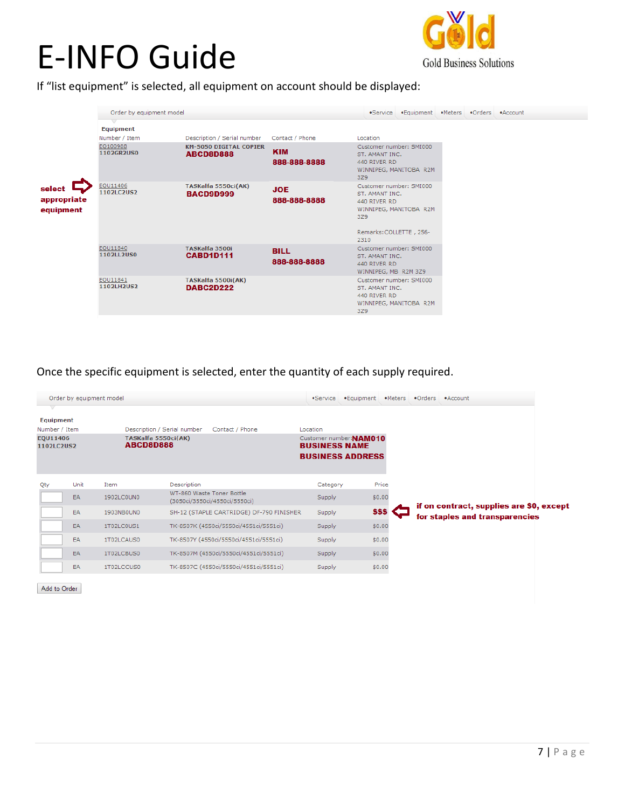

If "list equipment" is selected, all equipment on account should be displayed:

|                                    | Order by equipment model          |                                                   |                             | $•$ Service                                                                                         | •Equipment             |  | •Meters •Orders •Account |
|------------------------------------|-----------------------------------|---------------------------------------------------|-----------------------------|-----------------------------------------------------------------------------------------------------|------------------------|--|--------------------------|
|                                    | <b>Equipment</b><br>Number / Item | Description / Serial number                       | Contact / Phone             | Location                                                                                            |                        |  |                          |
|                                    | EQ100988<br>1102GR2US0            | <b>KM-5050 DIGITAL COPIER</b><br><b>ABCD8D888</b> | <b>KIM</b><br>888-888-8888  | Customer number: SMI000<br>ST. AMANT INC.<br>440 RIVER RD<br>3Z9                                    | WINNIPEG, MANITOBA R2M |  |                          |
| select<br>appropriate<br>equipment | EQU11406<br>1102LC2US2            | TASKalfa 5550ci(AK)<br><b>BACD9D999</b>           | <b>JOE</b><br>888-888-8888  | Customer number: SMI000<br>ST. AMANT INC.<br>440 RIVER RD<br>3Z9<br>Remarks: COLLETTE, 256-<br>2310 | WINNIPEG, MANITOBA R2M |  |                          |
|                                    | EOU11840<br>1102LL2US0            | TASKalfa 3500i<br><b>CABD1D111</b>                | <b>BILL</b><br>888-888-8888 | Customer number: SMI000<br>ST. AMANT INC.<br>440 RIVER RD<br>WINNIPEG, MB R2M 3Z9                   |                        |  |                          |
|                                    | EOU11841<br>1102LH2US2            | TASKalfa 5500i(AK)<br><b>DABC2D222</b>            |                             | Customer number: SMI000<br>ST. AMANT INC.<br>440 RIVER RD<br><b>3Z9</b>                             | WINNIPEG, MANITOBA R2M |  |                          |

Once the specific equipment is selected, enter the quantity of each supply required.

|                               |           | Order by equipment model         |                                                            | •Service             | .Equipment              | •Meters | •Orders • Account                                                          |
|-------------------------------|-----------|----------------------------------|------------------------------------------------------------|----------------------|-------------------------|---------|----------------------------------------------------------------------------|
| v<br>Equipment                |           |                                  |                                                            |                      |                         |         |                                                                            |
| Number / Item                 |           |                                  | Description / Serial number<br>Contact / Phone             | Location             |                         |         |                                                                            |
| E0U11406<br><b>1102LC2US2</b> |           | TASKalfa 5550ci(AK)<br>ABCD8D888 |                                                            | <b>BUSINESS NAME</b> | Customer number: NAM010 |         |                                                                            |
|                               |           |                                  |                                                            |                      | <b>BUSINESS ADDRESS</b> |         |                                                                            |
| Qty                           | Unit      | Item                             | Description                                                | Category             |                         | Price   |                                                                            |
|                               | EA        | 1902LC0UN0                       | WT-860 Waste Toner Bottle<br>(3050ci/3550ci/4550ci/5550ci) | <b>Supply</b>        | \$0.00                  |         |                                                                            |
|                               | EA        | 1903NB0UN0                       | SH-12 (STAPLE CARTRIDGE) DF-790 FINISHER                   | Supply               | SSS                     |         | if on contract, supplies are \$0, except<br>for staples and transparencies |
|                               | EA        | 1T02LC0US1                       | TK-8507K (4550ci/5550ci/4551ci/5551ci)                     | <b>Supply</b>        | \$0.00                  |         |                                                                            |
|                               | EA        | 1T02LCAUS0                       | TK-8507Y (4550ci/5550ci/4551ci/5551ci)                     | <b>Supply</b>        | \$0.00                  |         |                                                                            |
|                               | <b>EA</b> | 1T02LCBUS0                       | TK-8507M (4550ci/5550ci/4551ci/5551ci)                     | <b>Supply</b>        | \$0.00                  |         |                                                                            |
|                               | EA        | 1T02LCCUS0                       | TK-8507C (4550ci/5550ci/4551ci/5551ci)                     | Supply               | \$0.00                  |         |                                                                            |

Add to Order